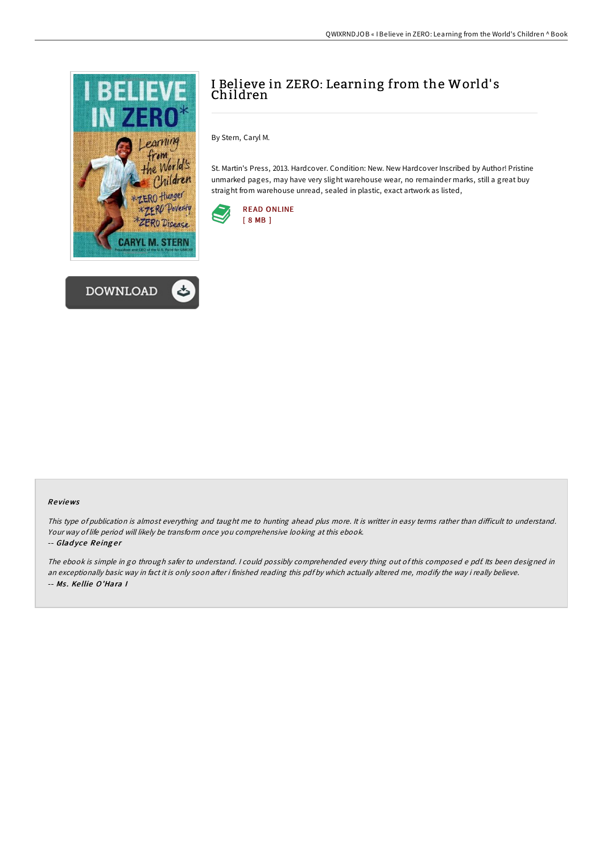



# I Believe in ZERO: Learning from the World's Children

By Stern, Caryl M.

St. Martin's Press, 2013. Hardcover. Condition: New. New Hardcover Inscribed by Author! Pristine unmarked pages, may have very slight warehouse wear, no remainder marks, still a great buy straight from warehouse unread, sealed in plastic, exact artwork as listed,



## Re views

This type of publication is almost everything and taught me to hunting ahead plus more. It is writter in easy terms rather than difficult to understand. Your way of life period will likely be transform once you comprehensive looking at this ebook.

#### -- Gladyce Reinger

The ebook is simple in go through safer to understand. <sup>I</sup> could possibly comprehended every thing out of this composed <sup>e</sup> pdf. Its been designed in an exceptionally basic way in fact it is only soon after i finished reading this pdf by which actually altered me, modify the way i really believe. -- Ms. Kellie O'Hara I